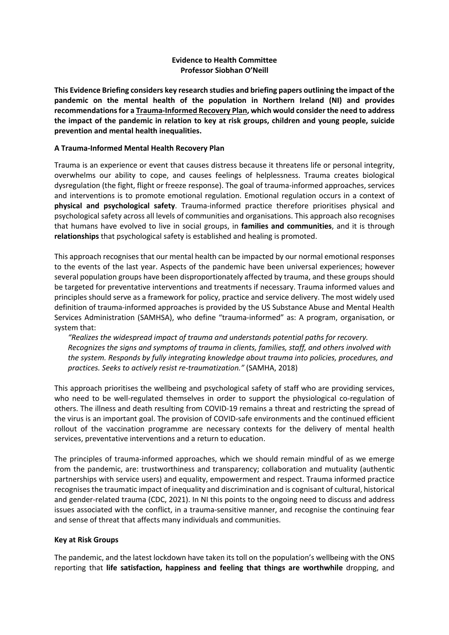# **Evidence to Health Committee Professor Siobhan O'Neill**

**This Evidence Briefing considers key research studies and briefing papers outlining the impact of the pandemic on the mental health of the population in Northern Ireland (NI) and provides recommendations for a Trauma-Informed Recovery Plan, which would consider the need to address the impact of the pandemic in relation to key at risk groups, children and young people, suicide prevention and mental health inequalities.** 

# **A Trauma-Informed Mental Health Recovery Plan**

Trauma is an experience or event that causes distress because it threatens life or personal integrity, overwhelms our ability to cope, and causes feelings of helplessness. Trauma creates biological dysregulation (the fight, flight or freeze response). The goal of trauma-informed approaches, services and interventions is to promote emotional regulation. Emotional regulation occurs in a context of **physical and psychological safety**. Trauma-informed practice therefore prioritises physical and psychological safety across all levels of communities and organisations. This approach also recognises that humans have evolved to live in social groups, in **families and communities**, and it is through **relationships** that psychological safety is established and healing is promoted.

This approach recognises that our mental health can be impacted by our normal emotional responses to the events of the last year. Aspects of the pandemic have been universal experiences; however several population groups have been disproportionately affected by trauma, and these groups should be targeted for preventative interventions and treatments if necessary. Trauma informed values and principles should serve as a framework for policy, practice and service delivery. The most widely used definition of trauma-informed approaches is provided by the US Substance Abuse and Mental Health Services Administration (SAMHSA), who define "trauma-informed" as: A program, organisation, or system that:

*"Realizes the widespread impact of trauma and understands potential paths for recovery. Recognizes the signs and symptoms of trauma in clients, families, staff, and others involved with the system. Responds by fully integrating knowledge about trauma into policies, procedures, and practices. Seeks to actively resist re-traumatization."* (SAMHA, 2018)

This approach prioritises the wellbeing and psychological safety of staff who are providing services, who need to be well-regulated themselves in order to support the physiological co-regulation of others. The illness and death resulting from COVID-19 remains a threat and restricting the spread of the virus is an important goal. The provision of COVID-safe environments and the continued efficient rollout of the vaccination programme are necessary contexts for the delivery of mental health services, preventative interventions and a return to education.

The principles of trauma-informed approaches, which we should remain mindful of as we emerge from the pandemic, are: trustworthiness and transparency; collaboration and mutuality (authentic partnerships with service users) and equality, empowerment and respect. Trauma informed practice recognises the traumatic impact of inequality and discrimination and is cognisant of cultural, historical and gender-related trauma (CDC, 2021). In NI this points to the ongoing need to discuss and address issues associated with the conflict, in a trauma-sensitive manner, and recognise the continuing fear and sense of threat that affects many individuals and communities.

# **Key at Risk Groups**

The pandemic, and the latest lockdown have taken its toll on the population's wellbeing with the ONS reporting that **life satisfaction, happiness and feeling that things are worthwhile** dropping, and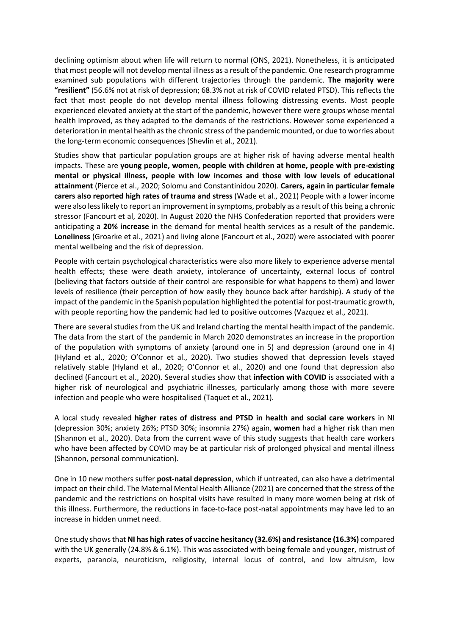declining optimism about when life will return to normal (ONS, 2021). Nonetheless, it is anticipated that most people will not develop mental illness as a result of the pandemic. One research programme examined sub populations with different trajectories through the pandemic. **The majority were "resilient"** (56.6% not at risk of depression; 68.3% not at risk of COVID related PTSD). This reflects the fact that most people do not develop mental illness following distressing events. Most people experienced elevated anxiety at the start of the pandemic, however there were groups whose mental health improved, as they adapted to the demands of the restrictions. However some experienced a deterioration in mental health as the chronic stress of the pandemic mounted, or due to worries about the long-term economic consequences (Shevlin et al., 2021).

Studies show that particular population groups are at higher risk of having adverse mental health impacts. These are **young people, women, people with children at home, people with pre-existing mental or physical illness, people with low incomes and those with low levels of educational attainment** (Pierce et al., 2020; Solomu and Constantinidou 2020). **Carers, again in particular female carers also reported high rates of trauma and stress** (Wade et al., 2021) People with a lower income were also less likely to report an improvement in symptoms, probably as a result of this being a chronic stressor (Fancourt et al, 2020). In August 2020 the NHS Confederation reported that providers were anticipating a **20% increase** in the demand for mental health services as a result of the pandemic. **Loneliness** (Groarke et al., 2021) and living alone (Fancourt et al., 2020) were associated with poorer mental wellbeing and the risk of depression.

People with certain psychological characteristics were also more likely to experience adverse mental health effects; these were death anxiety, intolerance of uncertainty, external locus of control (believing that factors outside of their control are responsible for what happens to them) and lower levels of resilience (their perception of how easily they bounce back after hardship). A study of the impact of the pandemic in the Spanish population highlighted the potential for post-traumatic growth, with people reporting how the pandemic had led to positive outcomes (Vazquez et al., 2021).

There are several studies from the UK and Ireland charting the mental health impact of the pandemic. The data from the start of the pandemic in March 2020 demonstrates an increase in the proportion of the population with symptoms of anxiety (around one in 5) and depression (around one in 4) (Hyland et al., 2020; O'Connor et al., 2020). Two studies showed that depression levels stayed relatively stable (Hyland et al., 2020; O'Connor et al., 2020) and one found that depression also declined (Fancourt et al., 2020). Several studies show that **infection with COVID** is associated with a higher risk of neurological and psychiatric illnesses, particularly among those with more severe infection and people who were hospitalised (Taquet et al., 2021).

A local study revealed **higher rates of distress and PTSD in health and social care workers** in NI (depression 30%; anxiety 26%; PTSD 30%; insomnia 27%) again, **women** had a higher risk than men (Shannon et al., 2020). Data from the current wave of this study suggests that health care workers who have been affected by COVID may be at particular risk of prolonged physical and mental illness (Shannon, personal communication).

One in 10 new mothers suffer **post-natal depression**, which if untreated, can also have a detrimental impact on their child. The Maternal Mental Health Alliance (2021) are concerned that the stress of the pandemic and the restrictions on hospital visits have resulted in many more women being at risk of this illness. Furthermore, the reductions in face-to-face post-natal appointments may have led to an increase in hidden unmet need.

One study shows that **NI has high rates of vaccine hesitancy (32.6%) and resistance (16.3%)** compared with the UK generally (24.8% & 6.1%). This was associated with being female and younger, mistrust of experts, paranoia, neuroticism, religiosity, internal locus of control, and low altruism, low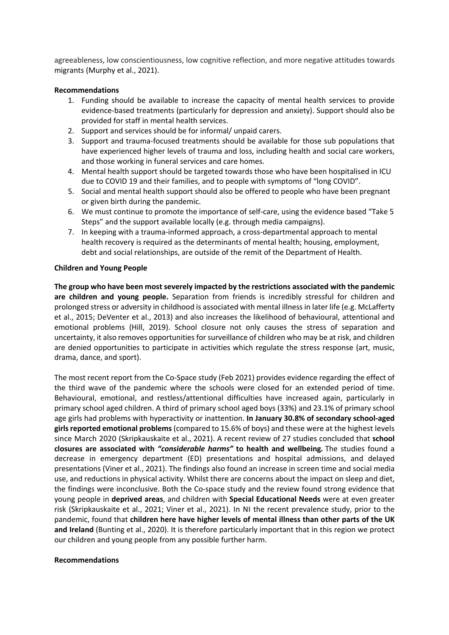agreeableness, low conscientiousness, low cognitive reflection, and more negative attitudes towards migrants (Murphy et al., 2021).

## **Recommendations**

- 1. Funding should be available to increase the capacity of mental health services to provide evidence-based treatments (particularly for depression and anxiety). Support should also be provided for staff in mental health services.
- 2. Support and services should be for informal/ unpaid carers.
- 3. Support and trauma-focused treatments should be available for those sub populations that have experienced higher levels of trauma and loss, including health and social care workers, and those working in funeral services and care homes.
- 4. Mental health support should be targeted towards those who have been hospitalised in ICU due to COVID 19 and their families, and to people with symptoms of "long COVID".
- 5. Social and mental health support should also be offered to people who have been pregnant or given birth during the pandemic.
- 6. We must continue to promote the importance of self-care, using the evidence based "Take 5 Steps" and the support available locally (e.g. through media campaigns).
- 7. In keeping with a trauma-informed approach, a cross-departmental approach to mental health recovery is required as the determinants of mental health; housing, employment, debt and social relationships, are outside of the remit of the Department of Health.

## **Children and Young People**

**The group who have been most severely impacted by the restrictions associated with the pandemic are children and young people.** Separation from friends is incredibly stressful for children and prolonged stress or adversity in childhood is associated with mental illness in later life (e.g. McLafferty et al., 2015; DeVenter et al., 2013) and also increases the likelihood of behavioural, attentional and emotional problems (Hill, 2019). School closure not only causes the stress of separation and uncertainty, it also removes opportunities for surveillance of children who may be at risk, and children are denied opportunities to participate in activities which regulate the stress response (art, music, drama, dance, and sport).

The most recent report from the Co-Space study (Feb 2021) provides evidence regarding the effect of the third wave of the pandemic where the schools were closed for an extended period of time. Behavioural, emotional, and restless/attentional difficulties have increased again, particularly in primary school aged children. A third of primary school aged boys (33%) and 23.1% of primary school age girls had problems with hyperactivity or inattention. **In January 30.8% of secondary school-aged girls reported emotional problems**(compared to 15.6% of boys) and these were at the highest levels since March 2020 (Skripkauskaite et al., 2021). A recent review of 27 studies concluded that **school closures are associated with** *"considerable harms"* **to health and wellbeing***.* The studies found a decrease in emergency department (ED) presentations and hospital admissions, and delayed presentations (Viner et al., 2021). The findings also found an increase in screen time and social media use, and reductions in physical activity. Whilst there are concerns about the impact on sleep and diet, the findings were inconclusive. Both the Co-space study and the review found strong evidence that young people in **deprived areas**, and children with **Special Educational Needs** were at even greater risk (Skripkauskaite et al., 2021; Viner et al., 2021). In NI the recent prevalence study, prior to the pandemic, found that **children here have higher levels of mental illness than other parts of the UK and Ireland** (Bunting et al., 2020). It is therefore particularly important that in this region we protect our children and young people from any possible further harm.

#### **Recommendations**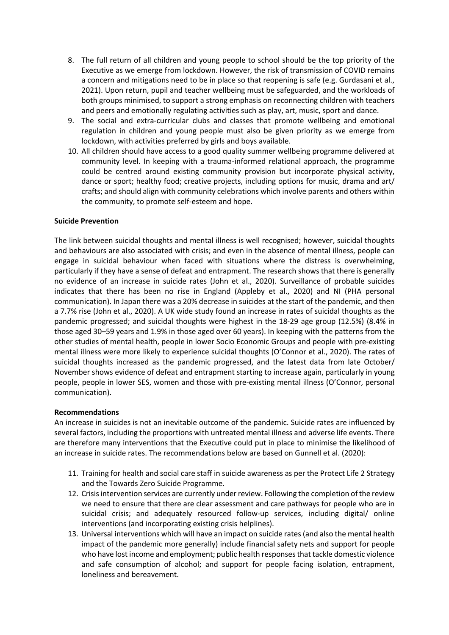- 8. The full return of all children and young people to school should be the top priority of the Executive as we emerge from lockdown. However, the risk of transmission of COVID remains a concern and mitigations need to be in place so that reopening is safe (e.g. Gurdasani et al., 2021). Upon return, pupil and teacher wellbeing must be safeguarded, and the workloads of both groups minimised, to support a strong emphasis on reconnecting children with teachers and peers and emotionally regulating activities such as play, art, music, sport and dance.
- 9. The social and extra-curricular clubs and classes that promote wellbeing and emotional regulation in children and young people must also be given priority as we emerge from lockdown, with activities preferred by girls and boys available.
- 10. All children should have access to a good quality summer wellbeing programme delivered at community level. In keeping with a trauma-informed relational approach, the programme could be centred around existing community provision but incorporate physical activity, dance or sport; healthy food; creative projects, including options for music, drama and art/ crafts; and should align with community celebrations which involve parents and others within the community, to promote self-esteem and hope.

# **Suicide Prevention**

The link between suicidal thoughts and mental illness is well recognised; however, suicidal thoughts and behaviours are also associated with crisis; and even in the absence of mental illness, people can engage in suicidal behaviour when faced with situations where the distress is overwhelming, particularly if they have a sense of defeat and entrapment. The research shows that there is generally no evidence of an increase in suicide rates (John et al., 2020). Surveillance of probable suicides indicates that there has been no rise in England (Appleby et al., 2020) and NI (PHA personal communication). In Japan there was a 20% decrease in suicides at the start of the pandemic, and then a 7.7% rise (John et al., 2020). A UK wide study found an increase in rates of suicidal thoughts as the pandemic progressed; and suicidal thoughts were highest in the 18-29 age group (12.5%) (8.4% in those aged 30–59 years and 1.9% in those aged over 60 years). In keeping with the patterns from the other studies of mental health, people in lower Socio Economic Groups and people with pre-existing mental illness were more likely to experience suicidal thoughts (O'Connor et al., 2020). The rates of suicidal thoughts increased as the pandemic progressed, and the latest data from late October/ November shows evidence of defeat and entrapment starting to increase again, particularly in young people, people in lower SES, women and those with pre-existing mental illness (O'Connor, personal communication).

#### **Recommendations**

An increase in suicides is not an inevitable outcome of the pandemic. Suicide rates are influenced by several factors, including the proportions with untreated mental illness and adverse life events. There are therefore many interventions that the Executive could put in place to minimise the likelihood of an increase in suicide rates. The recommendations below are based on Gunnell et al. (2020):

- 11. Training for health and social care staff in suicide awareness as per the Protect Life 2 Strategy and the Towards Zero Suicide Programme.
- 12. Crisis intervention services are currently under review. Following the completion of the review we need to ensure that there are clear assessment and care pathways for people who are in suicidal crisis; and adequately resourced follow-up services, including digital/ online interventions (and incorporating existing crisis helplines).
- 13. Universal interventions which will have an impact on suicide rates (and also the mental health impact of the pandemic more generally) include financial safety nets and support for people who have lost income and employment; public health responses that tackle domestic violence and safe consumption of alcohol; and support for people facing isolation, entrapment, loneliness and bereavement.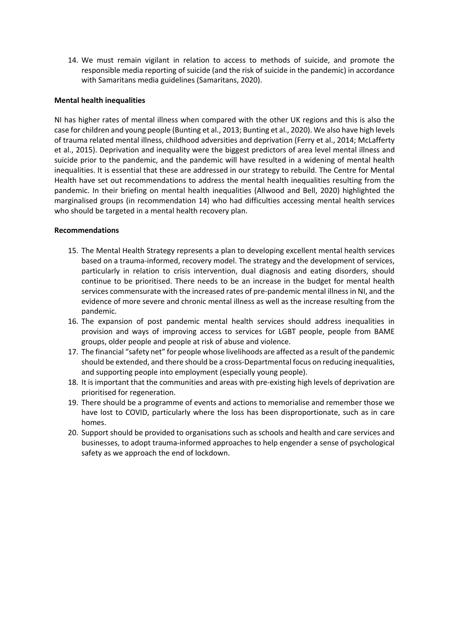14. We must remain vigilant in relation to access to methods of suicide, and promote the responsible media reporting of suicide (and the risk of suicide in the pandemic) in accordance with Samaritans media guidelines (Samaritans, 2020).

## **Mental health inequalities**

NI has higher rates of mental illness when compared with the other UK regions and this is also the case for children and young people (Bunting et al., 2013; Bunting et al., 2020). We also have high levels of trauma related mental illness, childhood adversities and deprivation (Ferry et al., 2014; McLafferty et al., 2015). Deprivation and inequality were the biggest predictors of area level mental illness and suicide prior to the pandemic, and the pandemic will have resulted in a widening of mental health inequalities. It is essential that these are addressed in our strategy to rebuild. The Centre for Mental Health have set out recommendations to address the mental health inequalities resulting from the pandemic. In their briefing on mental health inequalities (Allwood and Bell, 2020) highlighted the marginalised groups (in recommendation 14) who had difficulties accessing mental health services who should be targeted in a mental health recovery plan.

## **Recommendations**

- 15. The Mental Health Strategy represents a plan to developing excellent mental health services based on a trauma-informed, recovery model. The strategy and the development of services, particularly in relation to crisis intervention, dual diagnosis and eating disorders, should continue to be prioritised. There needs to be an increase in the budget for mental health services commensurate with the increased rates of pre-pandemic mental illness in NI, and the evidence of more severe and chronic mental illness as well as the increase resulting from the pandemic.
- 16. The expansion of post pandemic mental health services should address inequalities in provision and ways of improving access to services for LGBT people, people from BAME groups, older people and people at risk of abuse and violence.
- 17. The financial "safety net" for people whose livelihoods are affected as a result of the pandemic should be extended, and there should be a cross-Departmental focus on reducing inequalities, and supporting people into employment (especially young people).
- 18. It is important that the communities and areas with pre-existing high levels of deprivation are prioritised for regeneration.
- 19. There should be a programme of events and actions to memorialise and remember those we have lost to COVID, particularly where the loss has been disproportionate, such as in care homes.
- 20. Support should be provided to organisations such as schools and health and care services and businesses, to adopt trauma-informed approaches to help engender a sense of psychological safety as we approach the end of lockdown.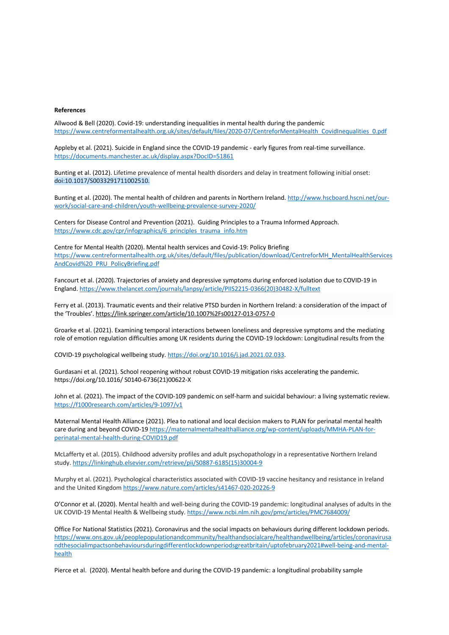#### **References**

Allwood & Bell (2020). Covid-19: understanding inequalities in mental health during the pandemic https://www.centreformentalhealth.org.uk/sites/default/files/2020-07/CentreforMentalHealth\_CovidInequalities\_0.pdf

Appleby et al. (2021). Suicide in England since the COVID-19 pandemic - early figures from real-time surveillance. https://documents.manchester.ac.uk/display.aspx?DocID=51861

Bunting et al. (2012). Lifetime prevalence of mental health disorders and delay in treatment following initial onset: doi:10.1017/S0033291711002510.

Bunting et al. (2020). The mental health of children and parents in Northern Ireland. http://www.hscboard.hscni.net/ourwork/social-care-and-children/youth-wellbeing-prevalence-survey-2020/

Centers for Disease Control and Prevention (2021). Guiding Principles to a Trauma Informed Approach. https://www.cdc.gov/cpr/infographics/6\_principles\_trauma\_info.htm

Centre for Mental Health (2020). Mental health services and Covid-19: Policy Briefing https://www.centreformentalhealth.org.uk/sites/default/files/publication/download/CentreforMH\_MentalHealthServices AndCovid%20\_PRU\_PolicyBriefing.pdf

Fancourt et al. (2020). Trajectories of anxiety and depressive symptoms during enforced isolation due to COVID-19 in England. https://www.thelancet.com/journals/lanpsy/article/PIIS2215-0366(20)30482-X/fulltext

Ferry et al. (2013). Traumatic events and their relative PTSD burden in Northern Ireland: a consideration of the impact of the 'Troubles'. https://link.springer.com/article/10.1007%2Fs00127-013-0757-0

Groarke et al. (2021). Examining temporal interactions between loneliness and depressive symptoms and the mediating role of emotion regulation difficulties among UK residents during the COVID-19 lockdown: Longitudinal results from the

COVID-19 psychological wellbeing study. https://doi.org/10.1016/j.jad.2021.02.033.

Gurdasani et al. (2021). School reopening without robust COVID-19 mitigation risks accelerating the pandemic. https://doi.org/10.1016/ S0140-6736(21)00622-X

John et al. (2021). The impact of the COVID-109 pandemic on self-harm and suicidal behaviour: a living systematic review. https://f1000research.com/articles/9-1097/v1

Maternal Mental Health Alliance (2021). Plea to national and local decision makers to PLAN for perinatal mental health care during and beyond COVID-19 https://maternalmentalhealthalliance.org/wp-content/uploads/MMHA-PLAN-forperinatal-mental-health-during-COVID19.pdf

McLafferty et al. (2015). Childhood adversity profiles and adult psychopathology in a representative Northern Ireland study. https://linkinghub.elsevier.com/retrieve/pii/S0887-6185(15)30004-9

Murphy et al. (2021). Psychological characteristics associated with COVID-19 vaccine hesitancy and resistance in Ireland and the United Kingdom https://www.nature.com/articles/s41467-020-20226-9

O'Connor et al. (2020). Mental health and well-being during the COVID-19 pandemic: longitudinal analyses of adults in the UK COVID-19 Mental Health & Wellbeing study. https://www.ncbi.nlm.nih.gov/pmc/articles/PMC7684009/

Office For National Statistics (2021). Coronavirus and the social impacts on behaviours during different lockdown periods. https://www.ons.gov.uk/peoplepopulationandcommunity/healthandsocialcare/healthandwellbeing/articles/coronavirusa ndthesocialimpactsonbehavioursduringdifferentlockdownperiodsgreatbritain/uptofebruary2021#well-being-and-mentalhealth

Pierce et al. (2020). Mental health before and during the COVID-19 pandemic: a longitudinal probability sample